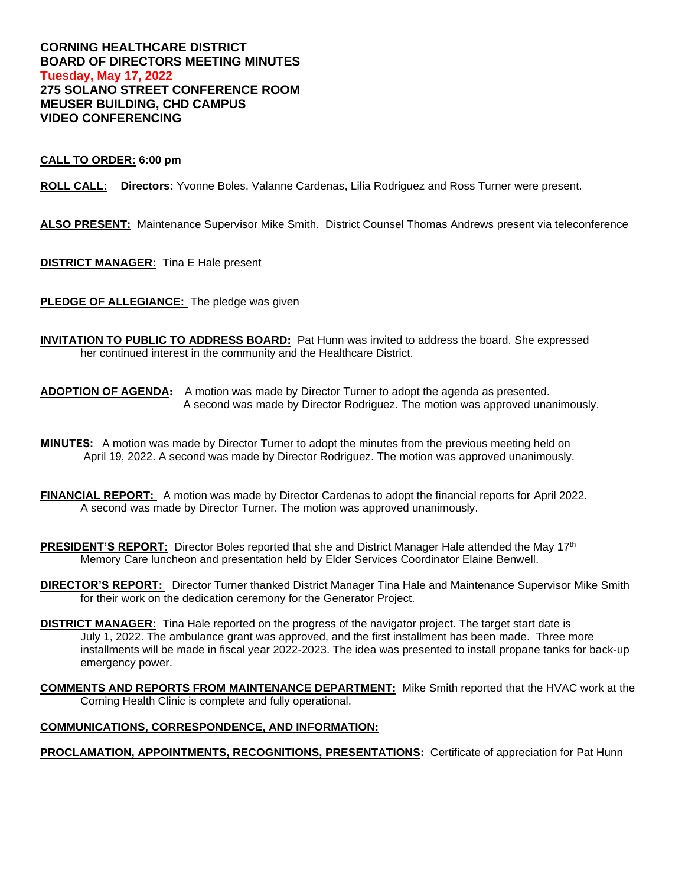# **CORNING HEALTHCARE DISTRICT BOARD OF DIRECTORS MEETING MINUTES Tuesday, May 17, 2022 275 SOLANO STREET CONFERENCE ROOM MEUSER BUILDING, CHD CAMPUS VIDEO CONFERENCING**

## **CALL TO ORDER: 6:00 pm**

**ROLL CALL: Directors:** Yvonne Boles, Valanne Cardenas, Lilia Rodriguez and Ross Turner were present.

**ALSO PRESENT:** Maintenance Supervisor Mike Smith. District Counsel Thomas Andrews present via teleconference

**DISTRICT MANAGER:** Tina E Hale present

**PLEDGE OF ALLEGIANCE:** The pledge was given

**INVITATION TO PUBLIC TO ADDRESS BOARD:** Pat Hunn was invited to address the board. She expressed her continued interest in the community and the Healthcare District.

**ADOPTION OF AGENDA:** A motion was made by Director Turner to adopt the agenda as presented. A second was made by Director Rodriguez. The motion was approved unanimously.

- **MINUTES:** A motion was made by Director Turner to adopt the minutes from the previous meeting held on April 19, 2022. A second was made by Director Rodriguez. The motion was approved unanimously.
- **FINANCIAL REPORT:** A motion was made by Director Cardenas to adopt the financial reports for April 2022. A second was made by Director Turner. The motion was approved unanimously.
- **PRESIDENT'S REPORT:** Director Boles reported that she and District Manager Hale attended the May 17<sup>th</sup> Memory Care luncheon and presentation held by Elder Services Coordinator Elaine Benwell.

**DIRECTOR'S REPORT:** Director Turner thanked District Manager Tina Hale and Maintenance Supervisor Mike Smith for their work on the dedication ceremony for the Generator Project.

- **DISTRICT MANAGER:** Tina Hale reported on the progress of the navigator project. The target start date is July 1, 2022. The ambulance grant was approved, and the first installment has been made. Three more installments will be made in fiscal year 2022-2023. The idea was presented to install propane tanks for back-up emergency power.
- **COMMENTS AND REPORTS FROM MAINTENANCE DEPARTMENT:** Mike Smith reported that the HVAC work at the Corning Health Clinic is complete and fully operational.

### **COMMUNICATIONS, CORRESPONDENCE, AND INFORMATION:**

**PROCLAMATION, APPOINTMENTS, RECOGNITIONS, PRESENTATIONS:** Certificate of appreciation for Pat Hunn